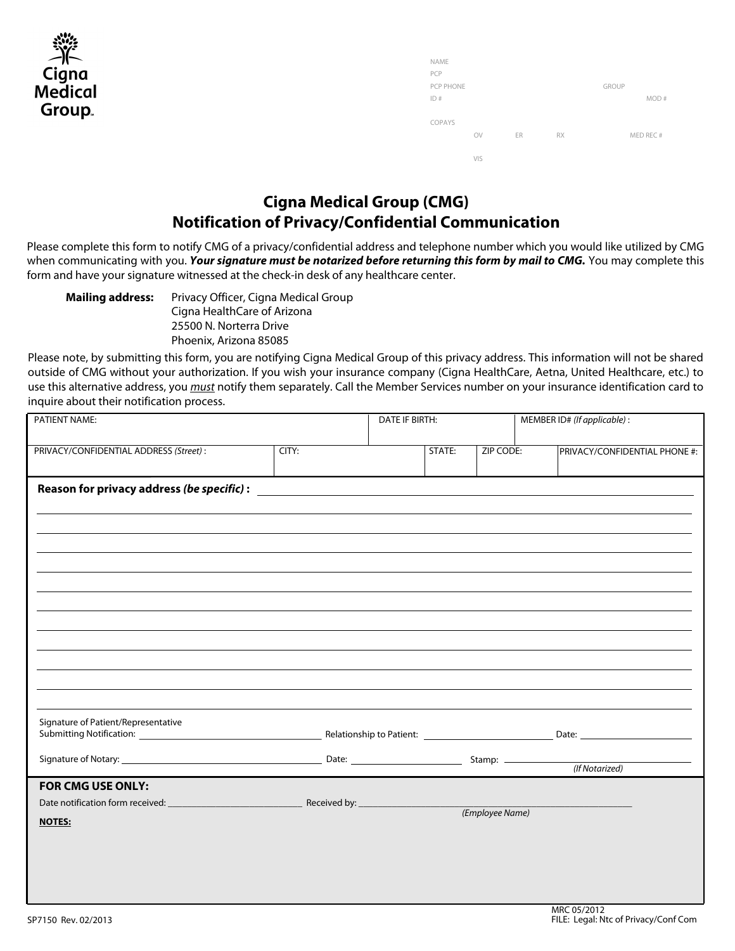| $\mathcal{L}^{(2)}$<br>ゴビ |
|---------------------------|
| Cigna                     |
| Medical                   |
| Group.                    |

| <b>NAME</b> |     |    |           |              |           |
|-------------|-----|----|-----------|--------------|-----------|
| PCP         |     |    |           |              |           |
| PCP PHONE   |     |    |           | <b>GROUP</b> |           |
| ID#         |     |    |           |              | MOD#      |
|             |     |    |           |              |           |
| COPAYS      |     |    |           |              |           |
|             | OV  | ER | <b>RX</b> |              | MED REC # |
|             |     |    |           |              |           |
|             | VIS |    |           |              |           |

## **Cigna Medical Group (CMG) Notification of Privacy/Confidential Communication**

Please complete this form to notify CMG of a privacy/confidential address and telephone number which you would like utilized by CMG when communicating with you. *Your signature must be notarized before returning this form by mail to CMG.* You may complete this form and have your signature witnessed at the check-in desk of any healthcare center.

Privacy Officer, Cigna Medical Group Cigna HealthCare of Arizona 25500 N. Norterra Drive Phoenix, Arizona 85085 **Mailing address:**

Please note, by submitting this form, you are notifying Cigna Medical Group of this privacy address. This information will not be shared outside of CMG without your authorization. If you wish your insurance company (Cigna HealthCare, Aetna, United Healthcare, etc.) to use this alternative address, you *must* notify them separately. Call the Member Services number on your insurance identification card to inquire about their notification process.

| PATIENT NAME:                           | DATE IF BIRTH: |        |                 | MEMBER ID# (If applicable) : |                               |
|-----------------------------------------|----------------|--------|-----------------|------------------------------|-------------------------------|
| PRIVACY/CONFIDENTIAL ADDRESS (Street) : | CITY:          | STATE: | ZIP CODE:       |                              | PRIVACY/CONFIDENTIAL PHONE #: |
|                                         |                |        |                 |                              |                               |
|                                         |                |        |                 |                              |                               |
|                                         |                |        |                 |                              |                               |
|                                         |                |        |                 |                              |                               |
|                                         |                |        |                 |                              |                               |
|                                         |                |        |                 |                              |                               |
|                                         |                |        |                 |                              |                               |
|                                         |                |        |                 |                              |                               |
|                                         |                |        |                 |                              |                               |
|                                         |                |        |                 |                              |                               |
|                                         |                |        |                 |                              |                               |
|                                         |                |        |                 |                              |                               |
| Signature of Patient/Representative     |                |        |                 |                              |                               |
|                                         |                |        |                 |                              |                               |
|                                         |                |        |                 | (If Notarized)               |                               |
| <b>FOR CMG USE ONLY:</b>                |                |        |                 |                              |                               |
|                                         |                |        | (Employee Name) |                              |                               |
| <b>NOTES:</b>                           |                |        |                 |                              |                               |
|                                         |                |        |                 |                              |                               |
|                                         |                |        |                 |                              |                               |
|                                         |                |        |                 |                              |                               |
|                                         |                |        |                 |                              |                               |